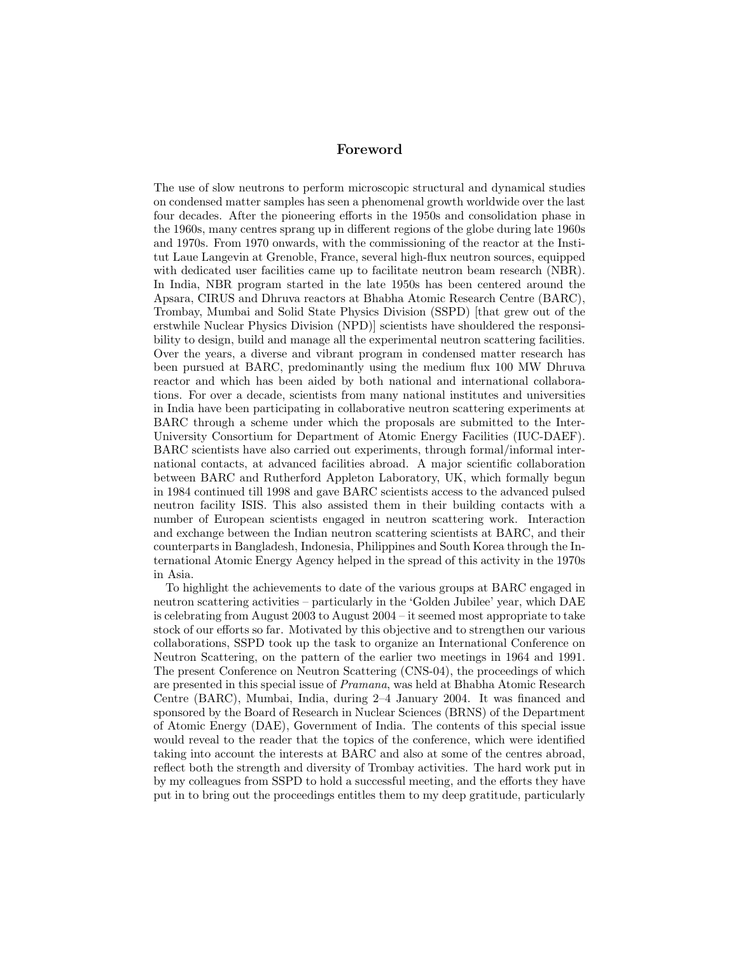## Foreword

The use of slow neutrons to perform microscopic structural and dynamical studies on condensed matter samples has seen a phenomenal growth worldwide over the last four decades. After the pioneering efforts in the 1950s and consolidation phase in the 1960s, many centres sprang up in different regions of the globe during late 1960s and 1970s. From 1970 onwards, with the commissioning of the reactor at the Institut Laue Langevin at Grenoble, France, several high-flux neutron sources, equipped with dedicated user facilities came up to facilitate neutron beam research (NBR). In India, NBR program started in the late 1950s has been centered around the Apsara, CIRUS and Dhruva reactors at Bhabha Atomic Research Centre (BARC), Trombay, Mumbai and Solid State Physics Division (SSPD) [that grew out of the erstwhile Nuclear Physics Division (NPD)] scientists have shouldered the responsibility to design, build and manage all the experimental neutron scattering facilities. Over the years, a diverse and vibrant program in condensed matter research has been pursued at BARC, predominantly using the medium flux 100 MW Dhruva reactor and which has been aided by both national and international collaborations. For over a decade, scientists from many national institutes and universities in India have been participating in collaborative neutron scattering experiments at BARC through a scheme under which the proposals are submitted to the Inter-University Consortium for Department of Atomic Energy Facilities (IUC-DAEF). BARC scientists have also carried out experiments, through formal/informal international contacts, at advanced facilities abroad. A major scientific collaboration between BARC and Rutherford Appleton Laboratory, UK, which formally begun in 1984 continued till 1998 and gave BARC scientists access to the advanced pulsed neutron facility ISIS. This also assisted them in their building contacts with a number of European scientists engaged in neutron scattering work. Interaction and exchange between the Indian neutron scattering scientists at BARC, and their counterparts in Bangladesh, Indonesia, Philippines and South Korea through the International Atomic Energy Agency helped in the spread of this activity in the 1970s in Asia.

To highlight the achievements to date of the various groups at BARC engaged in neutron scattering activities – particularly in the 'Golden Jubilee' year, which DAE is celebrating from August 2003 to August 2004 – it seemed most appropriate to take stock of our efforts so far. Motivated by this objective and to strengthen our various collaborations, SSPD took up the task to organize an International Conference on Neutron Scattering, on the pattern of the earlier two meetings in 1964 and 1991. The present Conference on Neutron Scattering (CNS-04), the proceedings of which are presented in this special issue of Pramana, was held at Bhabha Atomic Research Centre (BARC), Mumbai, India, during 2–4 January 2004. It was financed and sponsored by the Board of Research in Nuclear Sciences (BRNS) of the Department of Atomic Energy (DAE), Government of India. The contents of this special issue would reveal to the reader that the topics of the conference, which were identified taking into account the interests at BARC and also at some of the centres abroad, reflect both the strength and diversity of Trombay activities. The hard work put in by my colleagues from SSPD to hold a successful meeting, and the efforts they have put in to bring out the proceedings entitles them to my deep gratitude, particularly